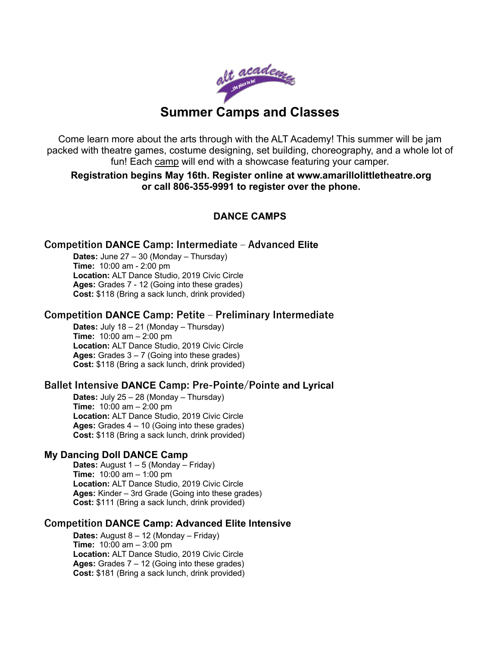

Come learn more about the arts through with the ALT Academy! This summer will be jam packed with theatre games, costume designing, set building, choreography, and a whole lot of fun! Each camp will end with a showcase featuring your camper.

**Registration begins May 16th. Register online at www.amarillolittletheatre.org or call 806-355-9991 to register over the phone.** 

# **DANCE CAMPS**

#### **Competition DANCE Camp: Intermediate ‒ Advanced Elite**

**Dates:** June 27 – 30 (Monday – Thursday) **Time:** 10:00 am - 2:00 pm **Location:** ALT Dance Studio, 2019 Civic Circle **Ages:** Grades 7 - 12 (Going into these grades) **Cost:** \$118 (Bring a sack lunch, drink provided)

## **Competition DANCE Camp: Petite ‒ Preliminary Intermediate**

**Dates:** July 18 – 21 (Monday – Thursday) **Time:** 10:00 am – 2:00 pm **Location:** ALT Dance Studio, 2019 Civic Circle **Ages:** Grades 3 – 7 (Going into these grades) **Cost:** \$118 (Bring a sack lunch, drink provided)

## **Ballet Intensive DANCE Camp: Pre-Pointe/Pointe and Lyrical**

**Dates:** July 25 – 28 (Monday – Thursday) **Time:** 10:00 am – 2:00 pm **Location:** ALT Dance Studio, 2019 Civic Circle **Ages:** Grades 4 – 10 (Going into these grades) **Cost:** \$118 (Bring a sack lunch, drink provided)

#### **My Dancing Doll DANCE Camp**

**Dates:** August 1 – 5 (Monday – Friday) **Time:** 10:00 am – 1:00 pm **Location:** ALT Dance Studio, 2019 Civic Circle **Ages:** Kinder – 3rd Grade (Going into these grades) **Cost:** \$111 (Bring a sack lunch, drink provided)

#### **Competition DANCE Camp: Advanced Elite Intensive**

**Dates:** August 8 – 12 (Monday – Friday) **Time:** 10:00 am – 3:00 pm **Location:** ALT Dance Studio, 2019 Civic Circle **Ages:** Grades 7 – 12 (Going into these grades) **Cost:** \$181 (Bring a sack lunch, drink provided)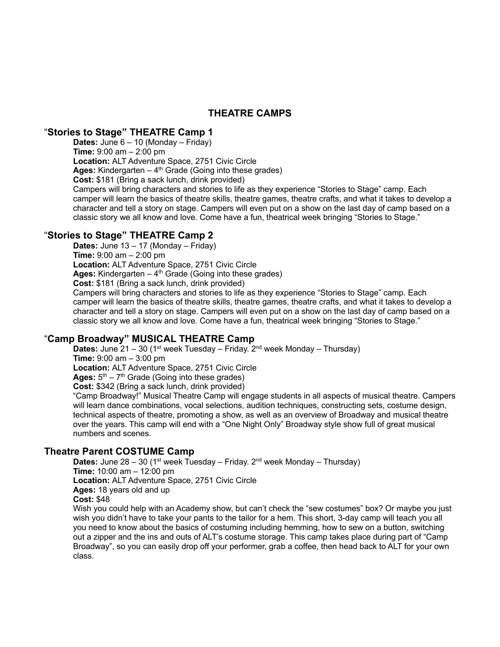# **THEATRE CAMPS**

#### "**Stories to Stage" THEATRE Camp 1**

**Dates:** June 6 – 10 (Monday – Friday)

**Time:** 9:00 am – 2:00 pm

**Location:** ALT Adventure Space, 2751 Civic Circle

Ages: Kindergarten – 4<sup>th</sup> Grade (Going into these grades)

**Cost:** \$181 (Bring a sack lunch, drink provided)

Campers will bring characters and stories to life as they experience "Stories to Stage" camp. Each camper will learn the basics of theatre skills, theatre games, theatre crafts, and what it takes to develop a character and tell a story on stage. Campers will even put on a show on the last day of camp based on a classic story we all know and love. Come have a fun, theatrical week bringing "Stories to Stage."

## "**Stories to Stage" THEATRE Camp 2**

**Dates:** June 13 – 17 (Monday – Friday) **Time:** 9:00 am – 2:00 pm **Location:** ALT Adventure Space, 2751 Civic Circle Ages: Kindergarten – 4<sup>th</sup> Grade (Going into these grades) **Cost:** \$181 (Bring a sack lunch, drink provided) Campers will bring characters and stories to life as they experience "Stories to Stage" camp. Each

camper will learn the basics of theatre skills, theatre games, theatre crafts, and what it takes to develop a character and tell a story on stage. Campers will even put on a show on the last day of camp based on a classic story we all know and love. Come have a fun, theatrical week bringing "Stories to Stage."

# "**Camp Broadway" MUSICAL THEATRE Camp**

**Dates:** June 21 – 30 (1<sup>st</sup> week Tuesday – Friday. 2<sup>nd</sup> week Monday – Thursday) **Time:** 9:00 am – 3:00 pm **Location:** ALT Adventure Space, 2751 Civic Circle Ages:  $5<sup>th</sup> - 7<sup>th</sup>$  Grade (Going into these grades) **Cost:** \$342 (Bring a sack lunch, drink provided) "Camp Broadway!" Musical Theatre Camp will engage students in all aspects of musical theatre. Campers will learn dance combinations, vocal selections, audition techniques, constructing sets, costume design, technical aspects of theatre, promoting a show, as well as an overview of Broadway and musical theatre over the years. This camp will end with a "One Night Only" Broadway style show full of great musical numbers and scenes.

## **Theatre Parent COSTUME Camp**

**Dates:** June 28 – 30 (1<sup>st</sup> week Tuesday – Friday. 2<sup>nd</sup> week Monday – Thursday) **Time:** 10:00 am – 12:00 pm **Location:** ALT Adventure Space, 2751 Civic Circle **Ages:** 18 years old and up **Cost:** \$48

Wish you could help with an Academy show, but can't check the "sew costumes" box? Or maybe you just wish you didn't have to take your pants to the tailor for a hem. This short, 3-day camp will teach you all you need to know about the basics of costuming including hemming, how to sew on a button, switching out a zipper and the ins and outs of ALT's costume storage. This camp takes place during part of "Camp Broadway", so you can easily drop off your performer, grab a coffee, then head back to ALT for your own class.